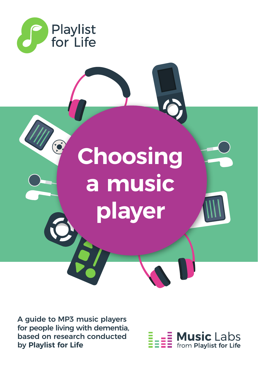



A guide to MP3 music players for people living with dementia, based on research conducted by **Playlist for Life**

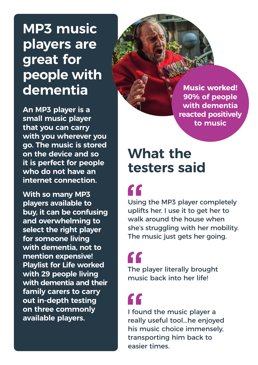## **MP3 music players are great for people with dementia**

**An MP3 player is a small music player that you can carry with you wherever you go. The music is stored on the device and so it is perfect for people who do not have an internet connection.**

**With so many MP3 players available to buy, it can be confusing and overwhelming to select the right player for someone living with dementia, not to mention expensive! Playlist for Life worked with 29 people living with dementia and their family carers to carry out in-depth testing on three commonly available players.**

**Music worked! 90% of people with dementia reacted positively to music**

### **What the testers said**

"

Using the MP3 player completely uplifts her. I use it to get her to walk around the house when she's struggling with her mobility. The music just gets her going.

 $\epsilon$ 

The player literally brought music back into her life!

# C C

I found the music player a really useful tool...he enjoyed his music choice immensely, transporting him back to easier times.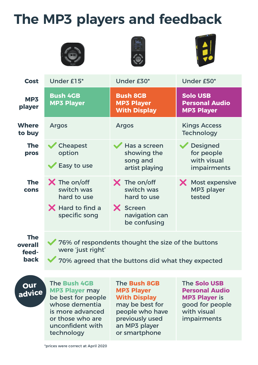## **The MP3 players and feedback**







| <b>Cost</b>            | Under £15*                                                                                 | Under £30*                                                                                     | Under £50*                                                    |
|------------------------|--------------------------------------------------------------------------------------------|------------------------------------------------------------------------------------------------|---------------------------------------------------------------|
| MP3<br>player          | <b>Bush 4GB</b><br><b>MP3 Player</b>                                                       | <b>Bush 8GB</b><br><b>MP3 Player</b><br><b>With Display</b>                                    | <b>Solo USB</b><br><b>Personal Audio</b><br><b>MP3 Player</b> |
| <b>Where</b><br>to buy | <b>Argos</b>                                                                               | <b>Argos</b>                                                                                   | <b>Kings Access</b><br><b>Technology</b>                      |
| <b>The</b><br>pros     | Cheapest<br>option<br>Easy to use                                                          | Has a screen<br>showing the<br>song and<br>artist playing                                      | <b>Designed</b><br>for people<br>with visual<br>impairments   |
| <b>The</b><br>cons     | $\bm{\times}$ The on/off<br>switch was<br>hard to use<br>X Hard to find a<br>specific song | $\times$ The on/off<br>switch was<br>hard to use<br>X Screen<br>navigation can<br>be confusing | X Most expensive<br>MP3 player<br>tested                      |
| <b>The</b>             | 76% of respondents thought the size of the buttons                                         |                                                                                                |                                                               |

**overall feedback**

76% of respondents thought the size of the buttons were 'just right'

70% agreed that the buttons did what they expected

### **Our advice**

The **Bush 4GB MP3 Player** may be best for people whose dementia is more advanced or those who are unconfident with technology

The **Bush 8GB MP3 Player With Display** may be best for people who have previously used an MP3 player or smartphone

The **Solo USB Personal Audio MP3 Player** is good for people with visual impairments